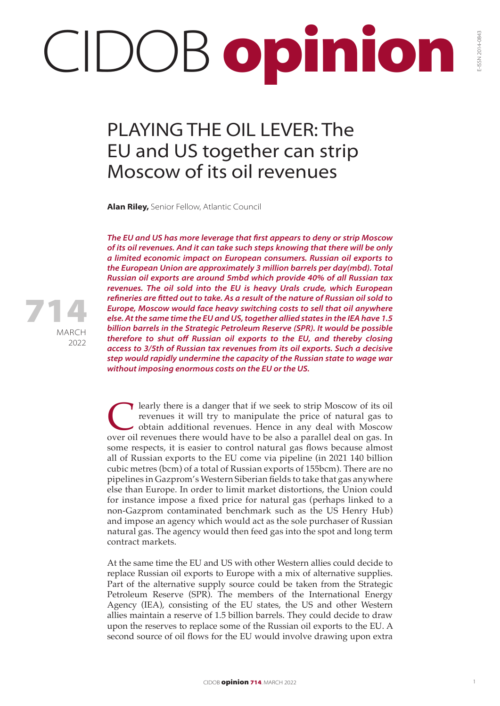## CIDOB opinion

## PLAYING THE OIL LEVER: The EU and US together can strip Moscow of its oil revenues

**Alan Riley,** Senior Fellow, Atlantic Council

*The EU and US has more leverage that first appears to deny or strip Moscow of its oil revenues. And it can take such steps knowing that there will be only a limited economic impact on European consumers. Russian oil exports to the European Union are approximately 3 million barrels per day(mbd). Total Russian oil exports are around 5mbd which provide 40% of all Russian tax revenues. The oil sold into the EU is heavy Urals crude, which European refineries are fitted out to take. As a result of the nature of Russian oil sold to Europe, Moscow would face heavy switching costs to sell that oil anywhere else. At the same time the EU and US, together allied states in the IEA have 1.5 billion barrels in the Strategic Petroleum Reserve (SPR). It would be possible therefore to shut off Russian oil exports to the EU, and thereby closing access to 3/5th of Russian tax revenues from its oil exports. Such a decisive step would rapidly undermine the capacity of the Russian state to wage war without imposing enormous costs on the EU or the US.*

**C** learly there is a danger that if we seek to strip Moscow of its oil revenues it will try to manipulate the price of natural gas to obtain additional revenues. Hence in any deal with Moscow over oil revenues there would revenues it will try to manipulate the price of natural gas to obtain additional revenues. Hence in any deal with Moscow over oil revenues there would have to be also a parallel deal on gas. In some respects, it is easier to control natural gas flows because almost all of Russian exports to the EU come via pipeline (in 2021 140 billion cubic metres (bcm) of a total of Russian exports of 155bcm). There are no pipelines in Gazprom's Western Siberian fields to take that gas anywhere else than Europe. In order to limit market distortions, the Union could for instance impose a fixed price for natural gas (perhaps linked to a non-Gazprom contaminated benchmark such as the US Henry Hub) and impose an agency which would act as the sole purchaser of Russian natural gas. The agency would then feed gas into the spot and long term contract markets.

At the same time the EU and US with other Western allies could decide to replace Russian oil exports to Europe with a mix of alternative supplies. Part of the alternative supply source could be taken from the Strategic Petroleum Reserve (SPR). The members of the International Energy Agency (IEA), consisting of the EU states, the US and other Western allies maintain a reserve of 1.5 billion barrels. They could decide to draw upon the reserves to replace some of the Russian oil exports to the EU. A second source of oil flows for the EU would involve drawing upon extra



MARCH 2022 714 E-ISSN 2014-0843

-ISSN 2014-0843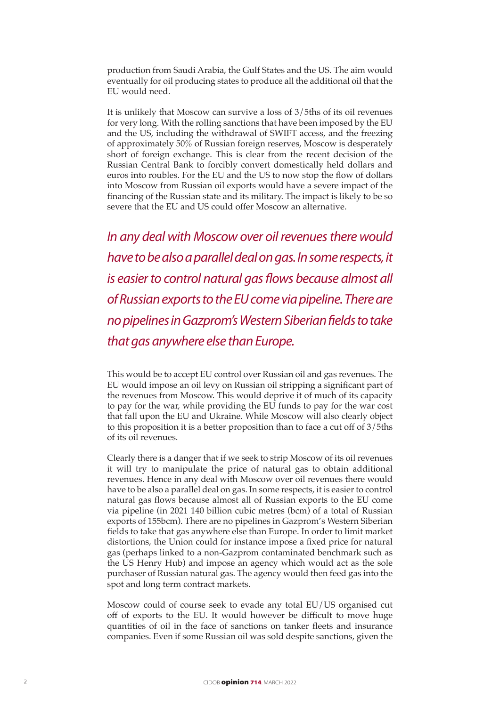production from Saudi Arabia, the Gulf States and the US. The aim would eventually for oil producing states to produce all the additional oil that the EU would need.

It is unlikely that Moscow can survive a loss of 3/5ths of its oil revenues for very long. With the rolling sanctions that have been imposed by the EU and the US, including the withdrawal of SWIFT access, and the freezing of approximately 50% of Russian foreign reserves, Moscow is desperately short of foreign exchange. This is clear from the recent decision of the Russian Central Bank to forcibly convert domestically held dollars and euros into roubles. For the EU and the US to now stop the flow of dollars into Moscow from Russian oil exports would have a severe impact of the financing of the Russian state and its military. The impact is likely to be so severe that the EU and US could offer Moscow an alternative.

*In any deal with Moscow over oil revenues there would have to be also a parallel deal on gas. In some respects, it is easier to control natural gas flows because almost all of Russian exports to the EU come via pipeline. There are no pipelines in Gazprom's Western Siberian fields to take that gas anywhere else than Europe.*

This would be to accept EU control over Russian oil and gas revenues. The EU would impose an oil levy on Russian oil stripping a significant part of the revenues from Moscow. This would deprive it of much of its capacity to pay for the war, while providing the EU funds to pay for the war cost that fall upon the EU and Ukraine. While Moscow will also clearly object to this proposition it is a better proposition than to face a cut off of 3/5ths of its oil revenues.

Clearly there is a danger that if we seek to strip Moscow of its oil revenues it will try to manipulate the price of natural gas to obtain additional revenues. Hence in any deal with Moscow over oil revenues there would have to be also a parallel deal on gas. In some respects, it is easier to control natural gas flows because almost all of Russian exports to the EU come via pipeline (in 2021 140 billion cubic metres (bcm) of a total of Russian exports of 155bcm). There are no pipelines in Gazprom's Western Siberian fields to take that gas anywhere else than Europe. In order to limit market distortions, the Union could for instance impose a fixed price for natural gas (perhaps linked to a non-Gazprom contaminated benchmark such as the US Henry Hub) and impose an agency which would act as the sole purchaser of Russian natural gas. The agency would then feed gas into the spot and long term contract markets.

Moscow could of course seek to evade any total EU/US organised cut off of exports to the EU. It would however be difficult to move huge quantities of oil in the face of sanctions on tanker fleets and insurance companies. Even if some Russian oil was sold despite sanctions, given the